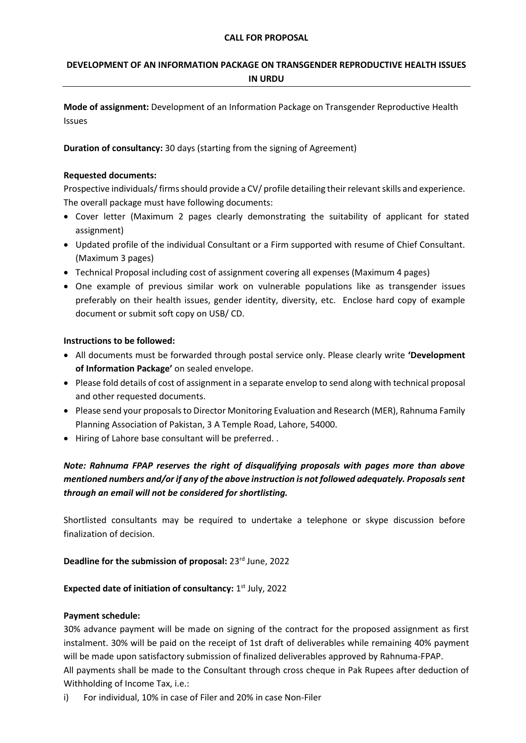#### **CALL FOR PROPOSAL**

# **DEVELOPMENT OF AN INFORMATION PACKAGE ON TRANSGENDER REPRODUCTIVE HEALTH ISSUES IN URDU**

**Mode of assignment:** Development of an Information Package on Transgender Reproductive Health Issues

**Duration of consultancy:** 30 days (starting from the signing of Agreement)

#### **Requested documents:**

Prospective individuals/ firms should provide a CV/ profile detailing their relevant skills and experience. The overall package must have following documents:

- Cover letter (Maximum 2 pages clearly demonstrating the suitability of applicant for stated assignment)
- Updated profile of the individual Consultant or a Firm supported with resume of Chief Consultant. (Maximum 3 pages)
- Technical Proposal including cost of assignment covering all expenses (Maximum 4 pages)
- One example of previous similar work on vulnerable populations like as transgender issues preferably on their health issues, gender identity, diversity, etc. Enclose hard copy of example document or submit soft copy on USB/ CD.

#### **Instructions to be followed:**

- All documents must be forwarded through postal service only. Please clearly write **'Development of Information Package'** on sealed envelope.
- Please fold details of cost of assignment in a separate envelop to send along with technical proposal and other requested documents.
- Please send your proposals to Director Monitoring Evaluation and Research (MER), Rahnuma Family Planning Association of Pakistan, 3 A Temple Road, Lahore, 54000.
- Hiring of Lahore base consultant will be preferred. .

# *Note: Rahnuma FPAP reserves the right of disqualifying proposals with pages more than above mentioned numbers and/or if any of the above instruction is not followed adequately. Proposals sent through an email will not be considered for shortlisting.*

Shortlisted consultants may be required to undertake a telephone or skype discussion before finalization of decision.

### Deadline for the submission of proposal: 23<sup>rd</sup> June, 2022

### Expected date of initiation of consultancy: 1<sup>st July, 2022</sup>

#### **Payment schedule:**

30% advance payment will be made on signing of the contract for the proposed assignment as first instalment. 30% will be paid on the receipt of 1st draft of deliverables while remaining 40% payment will be made upon satisfactory submission of finalized deliverables approved by Rahnuma-FPAP. All payments shall be made to the Consultant through cross cheque in Pak Rupees after deduction of Withholding of Income Tax, i.e.:

i) For individual, 10% in case of Filer and 20% in case Non-Filer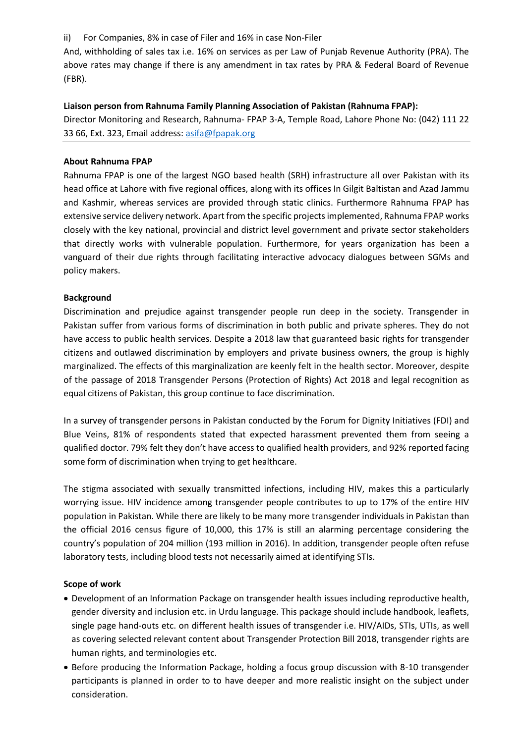ii) For Companies, 8% in case of Filer and 16% in case Non-Filer

And, withholding of sales tax i.e. 16% on services as per Law of Punjab Revenue Authority (PRA). The above rates may change if there is any amendment in tax rates by PRA & Federal Board of Revenue (FBR).

#### **Liaison person from Rahnuma Family Planning Association of Pakistan (Rahnuma FPAP):**

Director Monitoring and Research, Rahnuma- FPAP 3-A, Temple Road, Lahore Phone No: (042) 111 22 33 66, Ext. 323, Email address: [asifa@fpapak.org](mailto:asifa@fpapak.org)

#### **About Rahnuma FPAP**

Rahnuma FPAP is one of the largest NGO based health (SRH) infrastructure all over Pakistan with its head office at Lahore with five regional offices, along with its offices In Gilgit Baltistan and Azad Jammu and Kashmir, whereas services are provided through static clinics. Furthermore Rahnuma FPAP has extensive service delivery network. Apart from the specific projects implemented, Rahnuma FPAP works closely with the key national, provincial and district level government and private sector stakeholders that directly works with vulnerable population. Furthermore, for years organization has been a vanguard of their due rights through facilitating interactive advocacy dialogues between SGMs and policy makers.

#### **Background**

Discrimination and prejudice against transgender people run deep in the society. Transgender in Pakistan suffer from various forms of discrimination in both public and private spheres. They do not have access to public health services. Despite a 2018 law that guaranteed basic rights for transgender citizens and outlawed discrimination by employers and private business owners, the group is highly marginalized. The effects of this marginalization are keenly felt in the health sector. Moreover, despite of the passage of 2018 Transgender Persons (Protection of Rights) Act 2018 and legal recognition as equal citizens of Pakistan, this group continue to face discrimination.

In a survey of transgender persons in Pakistan conducted by the Forum for Dignity Initiatives (FDI) and Blue Veins, 81% of respondents stated that expected harassment prevented them from seeing a qualified doctor. 79% felt they don't have access to qualified health providers, and 92% reported facing some form of discrimination when trying to get healthcare.

The stigma associated with sexually transmitted infections, including HIV, makes this a particularly worrying issue. HIV incidence among transgender people contributes to up to 17% of the entire HIV population in Pakistan. While there are likely to be many more transgender individuals in Pakistan than the official 2016 census figure of 10,000, this 17% is still an alarming percentage considering the country's population of 204 million (193 million in 2016). In addition, transgender people often refuse laboratory tests, including blood tests not necessarily aimed at identifying STIs.

#### **Scope of work**

- Development of an Information Package on transgender health issues including reproductive health, gender diversity and inclusion etc. in Urdu language. This package should include handbook, leaflets, single page hand-outs etc. on different health issues of transgender i.e. HIV/AIDs, STIs, UTIs, as well as covering selected relevant content about Transgender Protection Bill 2018, transgender rights are human rights, and terminologies etc.
- Before producing the Information Package, holding a focus group discussion with 8-10 transgender participants is planned in order to to have deeper and more realistic insight on the subject under consideration.